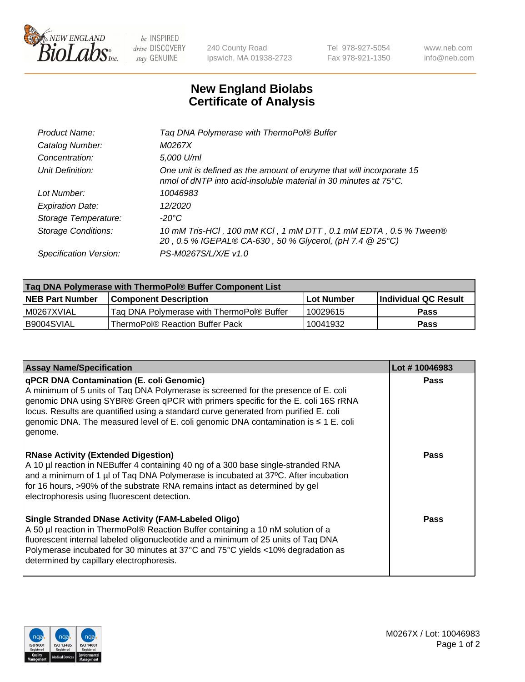

 $be$  INSPIRED drive DISCOVERY stay GENUINE

240 County Road Ipswich, MA 01938-2723 Tel 978-927-5054 Fax 978-921-1350 www.neb.com info@neb.com

## **New England Biolabs Certificate of Analysis**

| Product Name:              | Tag DNA Polymerase with ThermoPol® Buffer                                                                                                |
|----------------------------|------------------------------------------------------------------------------------------------------------------------------------------|
| Catalog Number:            | M0267X                                                                                                                                   |
| Concentration:             | 5,000 U/ml                                                                                                                               |
| Unit Definition:           | One unit is defined as the amount of enzyme that will incorporate 15<br>nmol of dNTP into acid-insoluble material in 30 minutes at 75°C. |
| Lot Number:                | 10046983                                                                                                                                 |
| <b>Expiration Date:</b>    | 12/2020                                                                                                                                  |
| Storage Temperature:       | $-20^{\circ}$ C                                                                                                                          |
| <b>Storage Conditions:</b> | 10 mM Tris-HCl, 100 mM KCl, 1 mM DTT, 0.1 mM EDTA, 0.5 % Tween®<br>20, 0.5 % IGEPAL® CA-630, 50 % Glycerol, (pH 7.4 @ 25°C)              |
| Specification Version:     | PS-M0267S/L/X/E v1.0                                                                                                                     |
|                            |                                                                                                                                          |

| Taq DNA Polymerase with ThermoPol® Buffer Component List |                                           |                   |                      |  |
|----------------------------------------------------------|-------------------------------------------|-------------------|----------------------|--|
| <b>NEB Part Number</b>                                   | <b>Component Description</b>              | <b>Lot Number</b> | Individual QC Result |  |
| IM0267XVIAL                                              | Taq DNA Polymerase with ThermoPol® Buffer | 10029615          | <b>Pass</b>          |  |
| I B9004SVIAL                                             | ThermoPol® Reaction Buffer Pack           | 10041932          | Pass                 |  |

| <b>Assay Name/Specification</b>                                                                                                                                                                                                                                                                                                                                                                               | Lot #10046983 |
|---------------------------------------------------------------------------------------------------------------------------------------------------------------------------------------------------------------------------------------------------------------------------------------------------------------------------------------------------------------------------------------------------------------|---------------|
| qPCR DNA Contamination (E. coli Genomic)<br>A minimum of 5 units of Taq DNA Polymerase is screened for the presence of E. coli<br>genomic DNA using SYBR® Green qPCR with primers specific for the E. coli 16S rRNA<br>locus. Results are quantified using a standard curve generated from purified E. coli<br>genomic DNA. The measured level of E. coli genomic DNA contamination is ≤ 1 E. coli<br>genome. | <b>Pass</b>   |
| <b>RNase Activity (Extended Digestion)</b><br>A 10 µl reaction in NEBuffer 4 containing 40 ng of a 300 base single-stranded RNA<br>and a minimum of 1 µl of Taq DNA Polymerase is incubated at 37°C. After incubation<br>for 16 hours, >90% of the substrate RNA remains intact as determined by gel<br>electrophoresis using fluorescent detection.                                                          | <b>Pass</b>   |
| <b>Single Stranded DNase Activity (FAM-Labeled Oligo)</b><br>A 50 µl reaction in ThermoPol® Reaction Buffer containing a 10 nM solution of a<br>fluorescent internal labeled oligonucleotide and a minimum of 25 units of Taq DNA<br>Polymerase incubated for 30 minutes at 37°C and 75°C yields <10% degradation as<br>determined by capillary electrophoresis.                                              | Pass          |